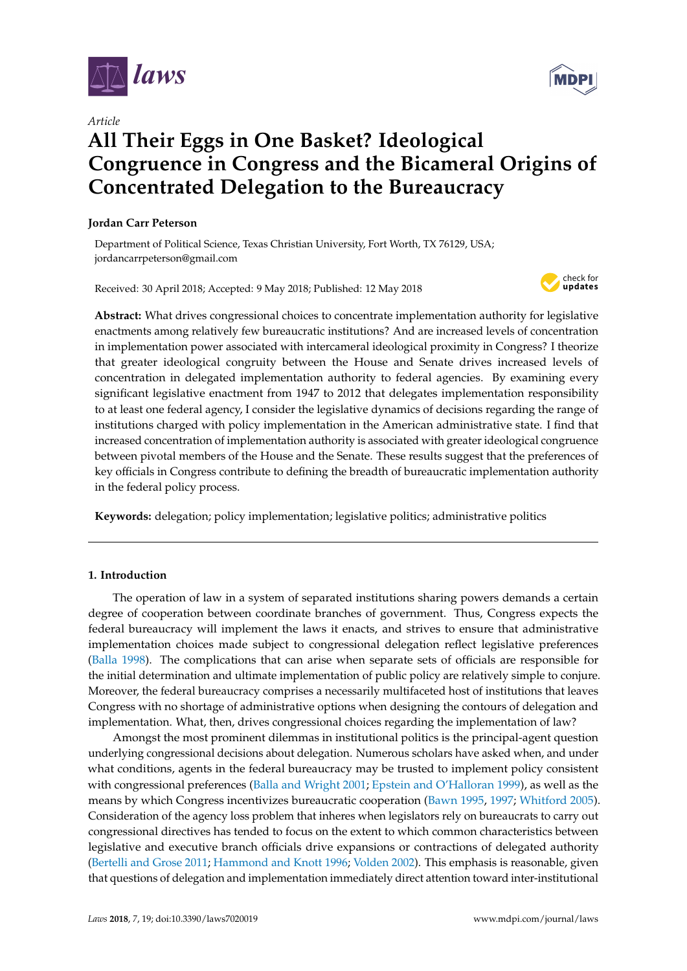

*Article*

# **All Their Eggs in One Basket? Ideological Congruence in Congress and the Bicameral Origins of Concentrated Delegation to the Bureaucracy**

# **Jordan Carr Peterson**

Department of Political Science, Texas Christian University, Fort Worth, TX 76129, USA; jordancarrpeterson@gmail.com

Received: 30 April 2018; Accepted: 9 May 2018; Published: 12 May 2018



**Abstract:** What drives congressional choices to concentrate implementation authority for legislative enactments among relatively few bureaucratic institutions? And are increased levels of concentration in implementation power associated with intercameral ideological proximity in Congress? I theorize that greater ideological congruity between the House and Senate drives increased levels of concentration in delegated implementation authority to federal agencies. By examining every significant legislative enactment from 1947 to 2012 that delegates implementation responsibility to at least one federal agency, I consider the legislative dynamics of decisions regarding the range of institutions charged with policy implementation in the American administrative state. I find that increased concentration of implementation authority is associated with greater ideological congruence between pivotal members of the House and the Senate. These results suggest that the preferences of key officials in Congress contribute to defining the breadth of bureaucratic implementation authority in the federal policy process.

**Keywords:** delegation; policy implementation; legislative politics; administrative politics

# **1. Introduction**

The operation of law in a system of separated institutions sharing powers demands a certain degree of cooperation between coordinate branches of government. Thus, Congress expects the federal bureaucracy will implement the laws it enacts, and strives to ensure that administrative implementation choices made subject to congressional delegation reflect legislative preferences [\(Balla](#page-13-0) [1998\)](#page-13-0). The complications that can arise when separate sets of officials are responsible for the initial determination and ultimate implementation of public policy are relatively simple to conjure. Moreover, the federal bureaucracy comprises a necessarily multifaceted host of institutions that leaves Congress with no shortage of administrative options when designing the contours of delegation and implementation. What, then, drives congressional choices regarding the implementation of law?

Amongst the most prominent dilemmas in institutional politics is the principal-agent question underlying congressional decisions about delegation. Numerous scholars have asked when, and under what conditions, agents in the federal bureaucracy may be trusted to implement policy consistent with congressional preferences [\(Balla and Wright](#page-13-1) [2001;](#page-13-1) [Epstein and O'Halloran](#page-13-2) [1999\)](#page-13-2), as well as the means by which Congress incentivizes bureaucratic cooperation [\(Bawn](#page-13-3) [1995,](#page-13-3) [1997;](#page-13-4) [Whitford](#page-14-0) [2005\)](#page-14-0). Consideration of the agency loss problem that inheres when legislators rely on bureaucrats to carry out congressional directives has tended to focus on the extent to which common characteristics between legislative and executive branch officials drive expansions or contractions of delegated authority [\(Bertelli and Grose](#page-13-5) [2011;](#page-13-5) [Hammond and Knott](#page-13-6) [1996;](#page-13-6) [Volden](#page-14-1) [2002\)](#page-14-1). This emphasis is reasonable, given that questions of delegation and implementation immediately direct attention toward inter-institutional

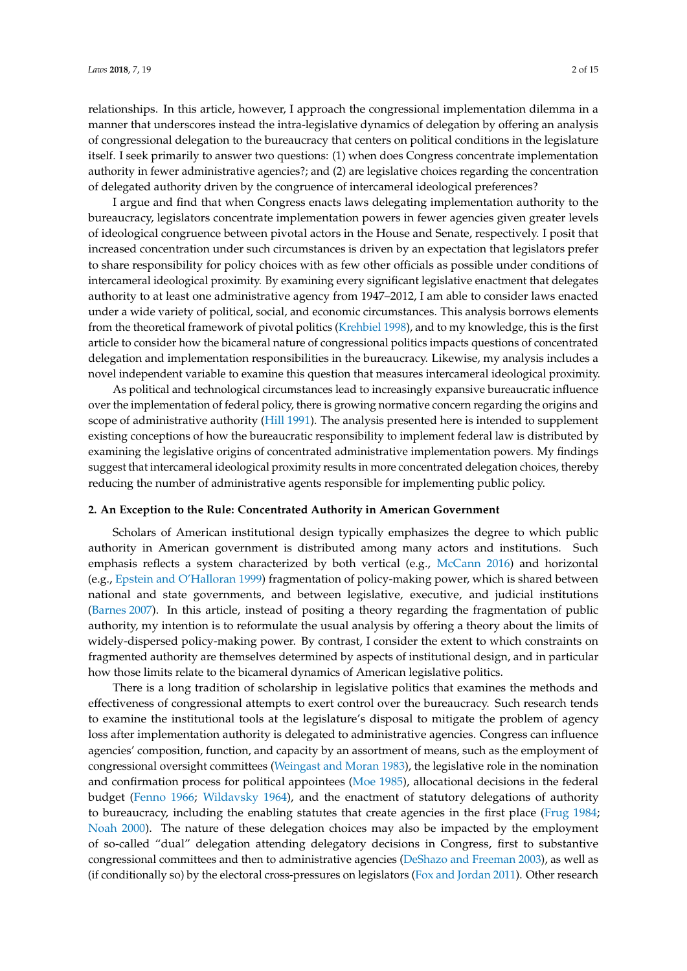relationships. In this article, however, I approach the congressional implementation dilemma in a manner that underscores instead the intra-legislative dynamics of delegation by offering an analysis of congressional delegation to the bureaucracy that centers on political conditions in the legislature itself. I seek primarily to answer two questions: (1) when does Congress concentrate implementation authority in fewer administrative agencies?; and (2) are legislative choices regarding the concentration of delegated authority driven by the congruence of intercameral ideological preferences?

I argue and find that when Congress enacts laws delegating implementation authority to the bureaucracy, legislators concentrate implementation powers in fewer agencies given greater levels of ideological congruence between pivotal actors in the House and Senate, respectively. I posit that increased concentration under such circumstances is driven by an expectation that legislators prefer to share responsibility for policy choices with as few other officials as possible under conditions of intercameral ideological proximity. By examining every significant legislative enactment that delegates authority to at least one administrative agency from 1947–2012, I am able to consider laws enacted under a wide variety of political, social, and economic circumstances. This analysis borrows elements from the theoretical framework of pivotal politics [\(Krehbiel](#page-13-7) [1998\)](#page-13-7), and to my knowledge, this is the first article to consider how the bicameral nature of congressional politics impacts questions of concentrated delegation and implementation responsibilities in the bureaucracy. Likewise, my analysis includes a novel independent variable to examine this question that measures intercameral ideological proximity.

As political and technological circumstances lead to increasingly expansive bureaucratic influence over the implementation of federal policy, there is growing normative concern regarding the origins and scope of administrative authority [\(Hill](#page-13-8) [1991\)](#page-13-8). The analysis presented here is intended to supplement existing conceptions of how the bureaucratic responsibility to implement federal law is distributed by examining the legislative origins of concentrated administrative implementation powers. My findings suggest that intercameral ideological proximity results in more concentrated delegation choices, thereby reducing the number of administrative agents responsible for implementing public policy.

#### **2. An Exception to the Rule: Concentrated Authority in American Government**

Scholars of American institutional design typically emphasizes the degree to which public authority in American government is distributed among many actors and institutions. Such emphasis reflects a system characterized by both vertical (e.g., [McCann](#page-14-2) [2016\)](#page-14-2) and horizontal (e.g., [Epstein and O'Halloran](#page-13-2) [1999\)](#page-13-2) fragmentation of policy-making power, which is shared between national and state governments, and between legislative, executive, and judicial institutions [\(Barnes](#page-13-9) [2007\)](#page-13-9). In this article, instead of positing a theory regarding the fragmentation of public authority, my intention is to reformulate the usual analysis by offering a theory about the limits of widely-dispersed policy-making power. By contrast, I consider the extent to which constraints on fragmented authority are themselves determined by aspects of institutional design, and in particular how those limits relate to the bicameral dynamics of American legislative politics.

There is a long tradition of scholarship in legislative politics that examines the methods and effectiveness of congressional attempts to exert control over the bureaucracy. Such research tends to examine the institutional tools at the legislature's disposal to mitigate the problem of agency loss after implementation authority is delegated to administrative agencies. Congress can influence agencies' composition, function, and capacity by an assortment of means, such as the employment of congressional oversight committees [\(Weingast and Moran](#page-14-3) [1983\)](#page-14-3), the legislative role in the nomination and confirmation process for political appointees [\(Moe](#page-14-4) [1985\)](#page-14-4), allocational decisions in the federal budget [\(Fenno](#page-13-10) [1966;](#page-13-10) [Wildavsky](#page-14-5) [1964\)](#page-14-5), and the enactment of statutory delegations of authority to bureaucracy, including the enabling statutes that create agencies in the first place [\(Frug](#page-13-11) [1984;](#page-13-11) [Noah](#page-14-6) [2000\)](#page-14-6). The nature of these delegation choices may also be impacted by the employment of so-called "dual" delegation attending delegatory decisions in Congress, first to substantive congressional committees and then to administrative agencies [\(DeShazo and Freeman](#page-13-12) [2003\)](#page-13-12), as well as (if conditionally so) by the electoral cross-pressures on legislators [\(Fox and Jordan](#page-13-13) [2011\)](#page-13-13). Other research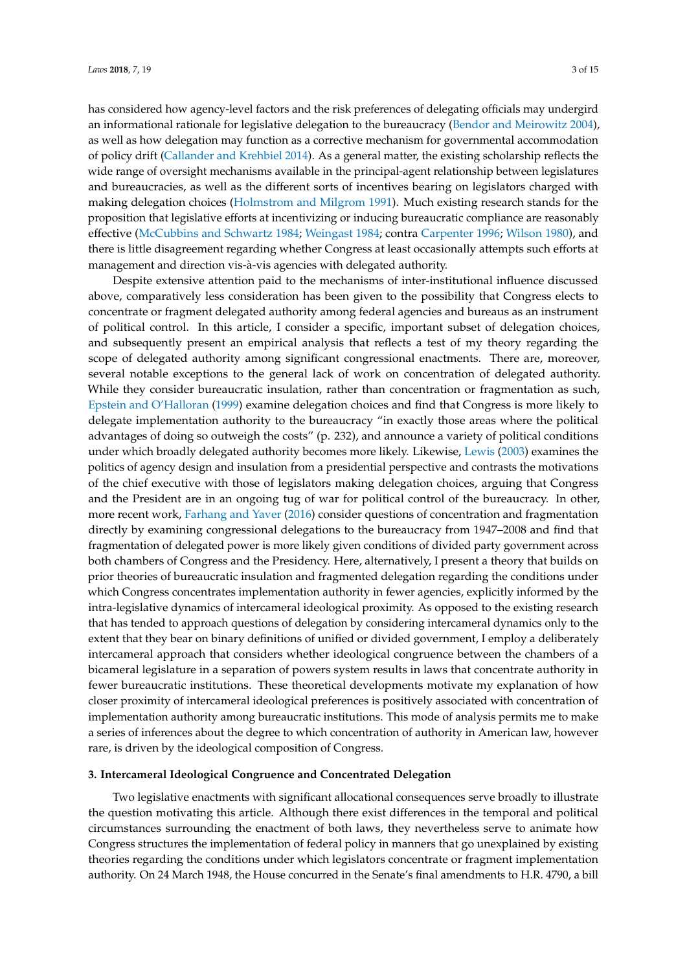has considered how agency-level factors and the risk preferences of delegating officials may undergird an informational rationale for legislative delegation to the bureaucracy [\(Bendor and Meirowitz](#page-13-14) [2004\)](#page-13-14), as well as how delegation may function as a corrective mechanism for governmental accommodation of policy drift [\(Callander and Krehbiel](#page-13-15) [2014\)](#page-13-15). As a general matter, the existing scholarship reflects the wide range of oversight mechanisms available in the principal-agent relationship between legislatures and bureaucracies, as well as the different sorts of incentives bearing on legislators charged with making delegation choices [\(Holmstrom and Milgrom](#page-13-16) [1991\)](#page-13-16). Much existing research stands for the proposition that legislative efforts at incentivizing or inducing bureaucratic compliance are reasonably effective [\(McCubbins and Schwartz](#page-14-7) [1984;](#page-14-7) [Weingast](#page-14-8) [1984;](#page-14-8) contra [Carpenter](#page-13-17) [1996;](#page-13-17) [Wilson](#page-14-9) [1980\)](#page-14-9), and there is little disagreement regarding whether Congress at least occasionally attempts such efforts at management and direction vis-à-vis agencies with delegated authority.

Despite extensive attention paid to the mechanisms of inter-institutional influence discussed above, comparatively less consideration has been given to the possibility that Congress elects to concentrate or fragment delegated authority among federal agencies and bureaus as an instrument of political control. In this article, I consider a specific, important subset of delegation choices, and subsequently present an empirical analysis that reflects a test of my theory regarding the scope of delegated authority among significant congressional enactments. There are, moreover, several notable exceptions to the general lack of work on concentration of delegated authority. While they consider bureaucratic insulation, rather than concentration or fragmentation as such, [Epstein and O'Halloran](#page-13-2) [\(1999\)](#page-13-2) examine delegation choices and find that Congress is more likely to delegate implementation authority to the bureaucracy "in exactly those areas where the political advantages of doing so outweigh the costs" (p. 232), and announce a variety of political conditions under which broadly delegated authority becomes more likely. Likewise, [Lewis](#page-14-10) [\(2003\)](#page-14-10) examines the politics of agency design and insulation from a presidential perspective and contrasts the motivations of the chief executive with those of legislators making delegation choices, arguing that Congress and the President are in an ongoing tug of war for political control of the bureaucracy. In other, more recent work, [Farhang and Yaver](#page-13-18) [\(2016\)](#page-13-18) consider questions of concentration and fragmentation directly by examining congressional delegations to the bureaucracy from 1947–2008 and find that fragmentation of delegated power is more likely given conditions of divided party government across both chambers of Congress and the Presidency. Here, alternatively, I present a theory that builds on prior theories of bureaucratic insulation and fragmented delegation regarding the conditions under which Congress concentrates implementation authority in fewer agencies, explicitly informed by the intra-legislative dynamics of intercameral ideological proximity. As opposed to the existing research that has tended to approach questions of delegation by considering intercameral dynamics only to the extent that they bear on binary definitions of unified or divided government, I employ a deliberately intercameral approach that considers whether ideological congruence between the chambers of a bicameral legislature in a separation of powers system results in laws that concentrate authority in fewer bureaucratic institutions. These theoretical developments motivate my explanation of how closer proximity of intercameral ideological preferences is positively associated with concentration of implementation authority among bureaucratic institutions. This mode of analysis permits me to make a series of inferences about the degree to which concentration of authority in American law, however rare, is driven by the ideological composition of Congress.

## **3. Intercameral Ideological Congruence and Concentrated Delegation**

Two legislative enactments with significant allocational consequences serve broadly to illustrate the question motivating this article. Although there exist differences in the temporal and political circumstances surrounding the enactment of both laws, they nevertheless serve to animate how Congress structures the implementation of federal policy in manners that go unexplained by existing theories regarding the conditions under which legislators concentrate or fragment implementation authority. On 24 March 1948, the House concurred in the Senate's final amendments to H.R. 4790, a bill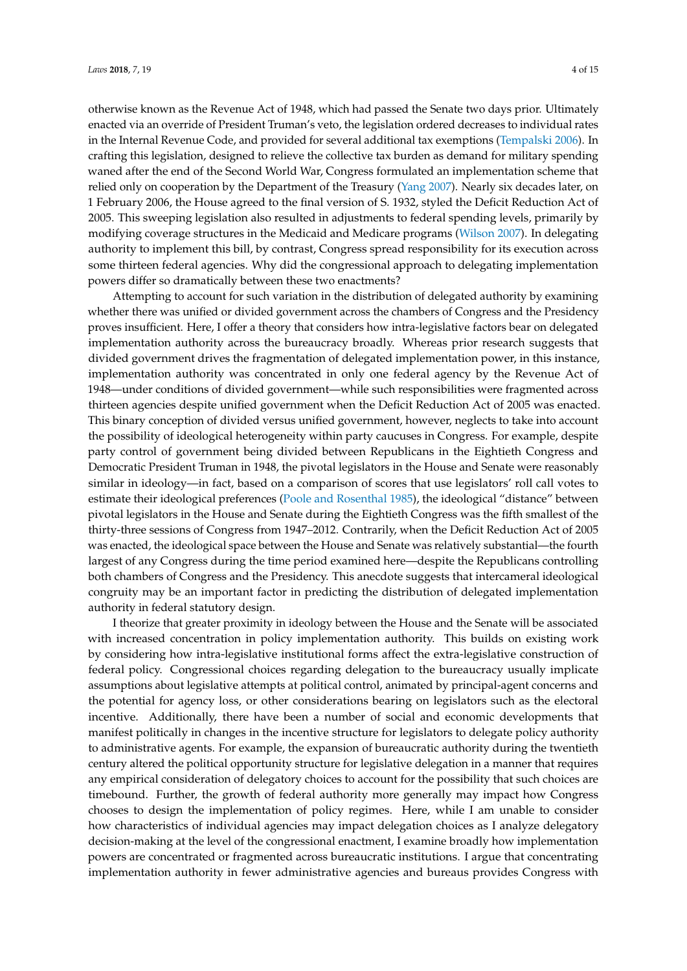otherwise known as the Revenue Act of 1948, which had passed the Senate two days prior. Ultimately enacted via an override of President Truman's veto, the legislation ordered decreases to individual rates in the Internal Revenue Code, and provided for several additional tax exemptions [\(Tempalski](#page-14-11) [2006\)](#page-14-11). In crafting this legislation, designed to relieve the collective tax burden as demand for military spending waned after the end of the Second World War, Congress formulated an implementation scheme that relied only on cooperation by the Department of the Treasury [\(Yang](#page-14-12) [2007\)](#page-14-12). Nearly six decades later, on 1 February 2006, the House agreed to the final version of S. 1932, styled the Deficit Reduction Act of 2005. This sweeping legislation also resulted in adjustments to federal spending levels, primarily by modifying coverage structures in the Medicaid and Medicare programs [\(Wilson](#page-14-13) [2007\)](#page-14-13). In delegating authority to implement this bill, by contrast, Congress spread responsibility for its execution across some thirteen federal agencies. Why did the congressional approach to delegating implementation powers differ so dramatically between these two enactments?

Attempting to account for such variation in the distribution of delegated authority by examining whether there was unified or divided government across the chambers of Congress and the Presidency proves insufficient. Here, I offer a theory that considers how intra-legislative factors bear on delegated implementation authority across the bureaucracy broadly. Whereas prior research suggests that divided government drives the fragmentation of delegated implementation power, in this instance, implementation authority was concentrated in only one federal agency by the Revenue Act of 1948—under conditions of divided government—while such responsibilities were fragmented across thirteen agencies despite unified government when the Deficit Reduction Act of 2005 was enacted. This binary conception of divided versus unified government, however, neglects to take into account the possibility of ideological heterogeneity within party caucuses in Congress. For example, despite party control of government being divided between Republicans in the Eightieth Congress and Democratic President Truman in 1948, the pivotal legislators in the House and Senate were reasonably similar in ideology—in fact, based on a comparison of scores that use legislators' roll call votes to estimate their ideological preferences [\(Poole and Rosenthal](#page-14-14) [1985\)](#page-14-14), the ideological "distance" between pivotal legislators in the House and Senate during the Eightieth Congress was the fifth smallest of the thirty-three sessions of Congress from 1947–2012. Contrarily, when the Deficit Reduction Act of 2005 was enacted, the ideological space between the House and Senate was relatively substantial—the fourth largest of any Congress during the time period examined here—despite the Republicans controlling both chambers of Congress and the Presidency. This anecdote suggests that intercameral ideological congruity may be an important factor in predicting the distribution of delegated implementation authority in federal statutory design.

I theorize that greater proximity in ideology between the House and the Senate will be associated with increased concentration in policy implementation authority. This builds on existing work by considering how intra-legislative institutional forms affect the extra-legislative construction of federal policy. Congressional choices regarding delegation to the bureaucracy usually implicate assumptions about legislative attempts at political control, animated by principal-agent concerns and the potential for agency loss, or other considerations bearing on legislators such as the electoral incentive. Additionally, there have been a number of social and economic developments that manifest politically in changes in the incentive structure for legislators to delegate policy authority to administrative agents. For example, the expansion of bureaucratic authority during the twentieth century altered the political opportunity structure for legislative delegation in a manner that requires any empirical consideration of delegatory choices to account for the possibility that such choices are timebound. Further, the growth of federal authority more generally may impact how Congress chooses to design the implementation of policy regimes. Here, while I am unable to consider how characteristics of individual agencies may impact delegation choices as I analyze delegatory decision-making at the level of the congressional enactment, I examine broadly how implementation powers are concentrated or fragmented across bureaucratic institutions. I argue that concentrating implementation authority in fewer administrative agencies and bureaus provides Congress with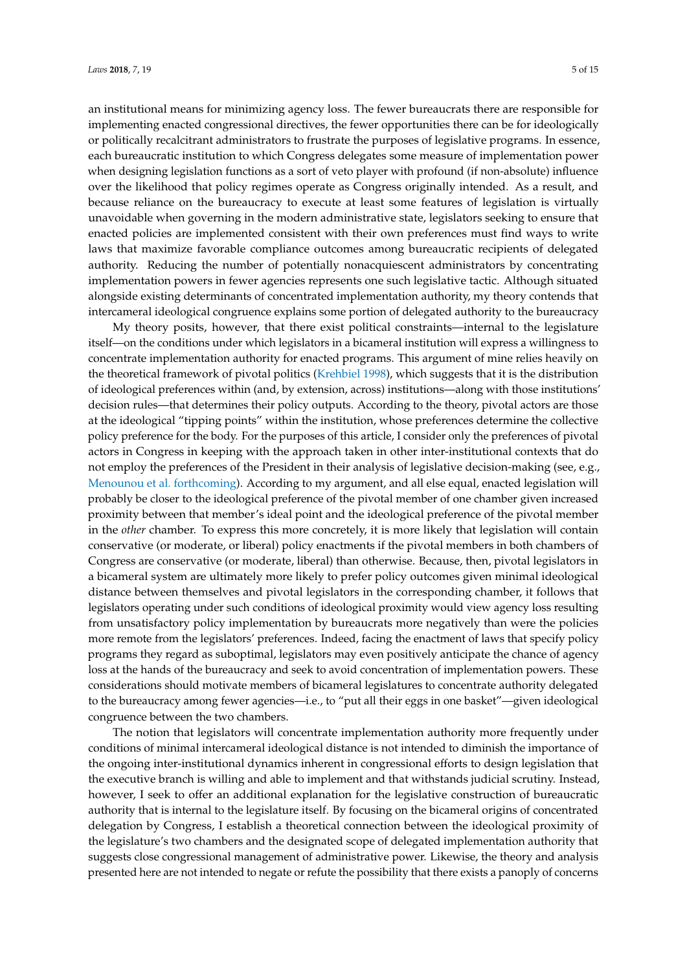an institutional means for minimizing agency loss. The fewer bureaucrats there are responsible for implementing enacted congressional directives, the fewer opportunities there can be for ideologically or politically recalcitrant administrators to frustrate the purposes of legislative programs. In essence, each bureaucratic institution to which Congress delegates some measure of implementation power when designing legislation functions as a sort of veto player with profound (if non-absolute) influence over the likelihood that policy regimes operate as Congress originally intended. As a result, and because reliance on the bureaucracy to execute at least some features of legislation is virtually unavoidable when governing in the modern administrative state, legislators seeking to ensure that enacted policies are implemented consistent with their own preferences must find ways to write laws that maximize favorable compliance outcomes among bureaucratic recipients of delegated authority. Reducing the number of potentially nonacquiescent administrators by concentrating implementation powers in fewer agencies represents one such legislative tactic. Although situated alongside existing determinants of concentrated implementation authority, my theory contends that intercameral ideological congruence explains some portion of delegated authority to the bureaucracy

My theory posits, however, that there exist political constraints—internal to the legislature itself—on the conditions under which legislators in a bicameral institution will express a willingness to concentrate implementation authority for enacted programs. This argument of mine relies heavily on the theoretical framework of pivotal politics [\(Krehbiel](#page-13-7) [1998\)](#page-13-7), which suggests that it is the distribution of ideological preferences within (and, by extension, across) institutions—along with those institutions' decision rules—that determines their policy outputs. According to the theory, pivotal actors are those at the ideological "tipping points" within the institution, whose preferences determine the collective policy preference for the body. For the purposes of this article, I consider only the preferences of pivotal actors in Congress in keeping with the approach taken in other inter-institutional contexts that do not employ the preferences of the President in their analysis of legislative decision-making (see, e.g., [Menounou et al.](#page-14-15) [forthcoming\)](#page-14-15). According to my argument, and all else equal, enacted legislation will probably be closer to the ideological preference of the pivotal member of one chamber given increased proximity between that member's ideal point and the ideological preference of the pivotal member in the *other* chamber. To express this more concretely, it is more likely that legislation will contain conservative (or moderate, or liberal) policy enactments if the pivotal members in both chambers of Congress are conservative (or moderate, liberal) than otherwise. Because, then, pivotal legislators in a bicameral system are ultimately more likely to prefer policy outcomes given minimal ideological distance between themselves and pivotal legislators in the corresponding chamber, it follows that legislators operating under such conditions of ideological proximity would view agency loss resulting from unsatisfactory policy implementation by bureaucrats more negatively than were the policies more remote from the legislators' preferences. Indeed, facing the enactment of laws that specify policy programs they regard as suboptimal, legislators may even positively anticipate the chance of agency loss at the hands of the bureaucracy and seek to avoid concentration of implementation powers. These considerations should motivate members of bicameral legislatures to concentrate authority delegated to the bureaucracy among fewer agencies—i.e., to "put all their eggs in one basket"—given ideological congruence between the two chambers.

The notion that legislators will concentrate implementation authority more frequently under conditions of minimal intercameral ideological distance is not intended to diminish the importance of the ongoing inter-institutional dynamics inherent in congressional efforts to design legislation that the executive branch is willing and able to implement and that withstands judicial scrutiny. Instead, however, I seek to offer an additional explanation for the legislative construction of bureaucratic authority that is internal to the legislature itself. By focusing on the bicameral origins of concentrated delegation by Congress, I establish a theoretical connection between the ideological proximity of the legislature's two chambers and the designated scope of delegated implementation authority that suggests close congressional management of administrative power. Likewise, the theory and analysis presented here are not intended to negate or refute the possibility that there exists a panoply of concerns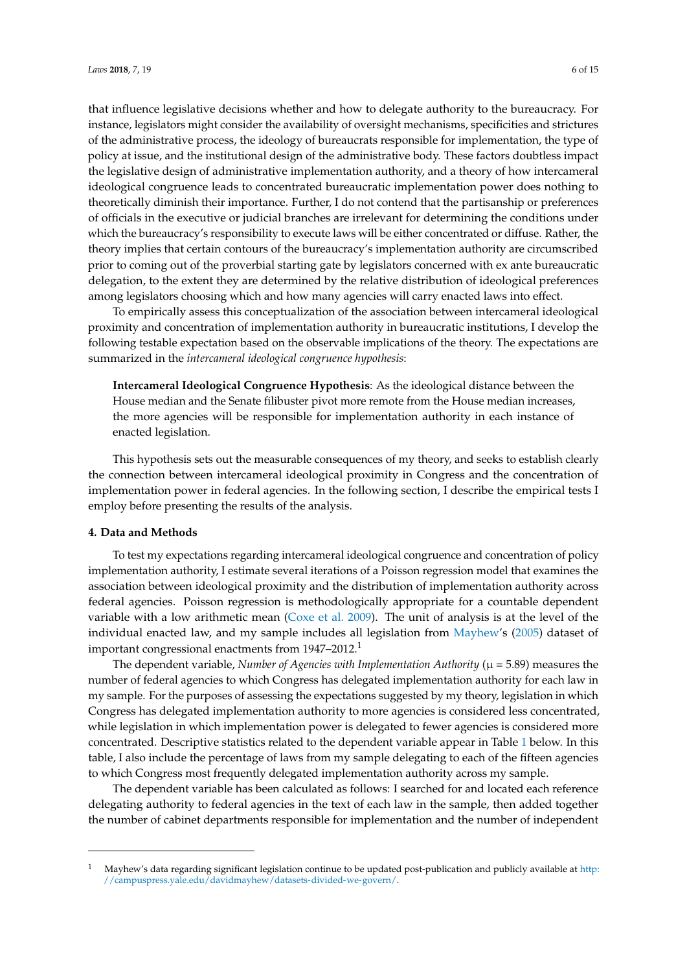that influence legislative decisions whether and how to delegate authority to the bureaucracy. For instance, legislators might consider the availability of oversight mechanisms, specificities and strictures of the administrative process, the ideology of bureaucrats responsible for implementation, the type of policy at issue, and the institutional design of the administrative body. These factors doubtless impact the legislative design of administrative implementation authority, and a theory of how intercameral ideological congruence leads to concentrated bureaucratic implementation power does nothing to theoretically diminish their importance. Further, I do not contend that the partisanship or preferences of officials in the executive or judicial branches are irrelevant for determining the conditions under which the bureaucracy's responsibility to execute laws will be either concentrated or diffuse. Rather, the theory implies that certain contours of the bureaucracy's implementation authority are circumscribed prior to coming out of the proverbial starting gate by legislators concerned with ex ante bureaucratic delegation, to the extent they are determined by the relative distribution of ideological preferences among legislators choosing which and how many agencies will carry enacted laws into effect.

To empirically assess this conceptualization of the association between intercameral ideological proximity and concentration of implementation authority in bureaucratic institutions, I develop the following testable expectation based on the observable implications of the theory. The expectations are summarized in the *intercameral ideological congruence hypothesis*:

**Intercameral Ideological Congruence Hypothesis**: As the ideological distance between the House median and the Senate filibuster pivot more remote from the House median increases, the more agencies will be responsible for implementation authority in each instance of enacted legislation.

This hypothesis sets out the measurable consequences of my theory, and seeks to establish clearly the connection between intercameral ideological proximity in Congress and the concentration of implementation power in federal agencies. In the following section, I describe the empirical tests I employ before presenting the results of the analysis.

#### **4. Data and Methods**

To test my expectations regarding intercameral ideological congruence and concentration of policy implementation authority, I estimate several iterations of a Poisson regression model that examines the association between ideological proximity and the distribution of implementation authority across federal agencies. Poisson regression is methodologically appropriate for a countable dependent variable with a low arithmetic mean [\(Coxe et al.](#page-13-19) [2009\)](#page-13-19). The unit of analysis is at the level of the individual enacted law, and my sample includes all legislation from [Mayhew'](#page-14-16)s [\(2005\)](#page-14-16) dataset of important congressional enactments from 1947–2012.<sup>1</sup>

The dependent variable, *Number of Agencies with Implementation Authority* ( $\mu$  = 5.89) measures the number of federal agencies to which Congress has delegated implementation authority for each law in my sample. For the purposes of assessing the expectations suggested by my theory, legislation in which Congress has delegated implementation authority to more agencies is considered less concentrated, while legislation in which implementation power is delegated to fewer agencies is considered more concentrated. Descriptive statistics related to the dependent variable appear in Table [1](#page-6-0) below. In this table, I also include the percentage of laws from my sample delegating to each of the fifteen agencies to which Congress most frequently delegated implementation authority across my sample.

The dependent variable has been calculated as follows: I searched for and located each reference delegating authority to federal agencies in the text of each law in the sample, then added together the number of cabinet departments responsible for implementation and the number of independent

<sup>1</sup> Mayhew's data regarding significant legislation continue to be updated post-publication and publicly available at [http:](http://campuspress.yale.edu/davidmayhew/datasets-divided-we-govern/) [//campuspress.yale.edu/davidmayhew/datasets-divided-we-govern/.](http://campuspress.yale.edu/davidmayhew/datasets-divided-we-govern/)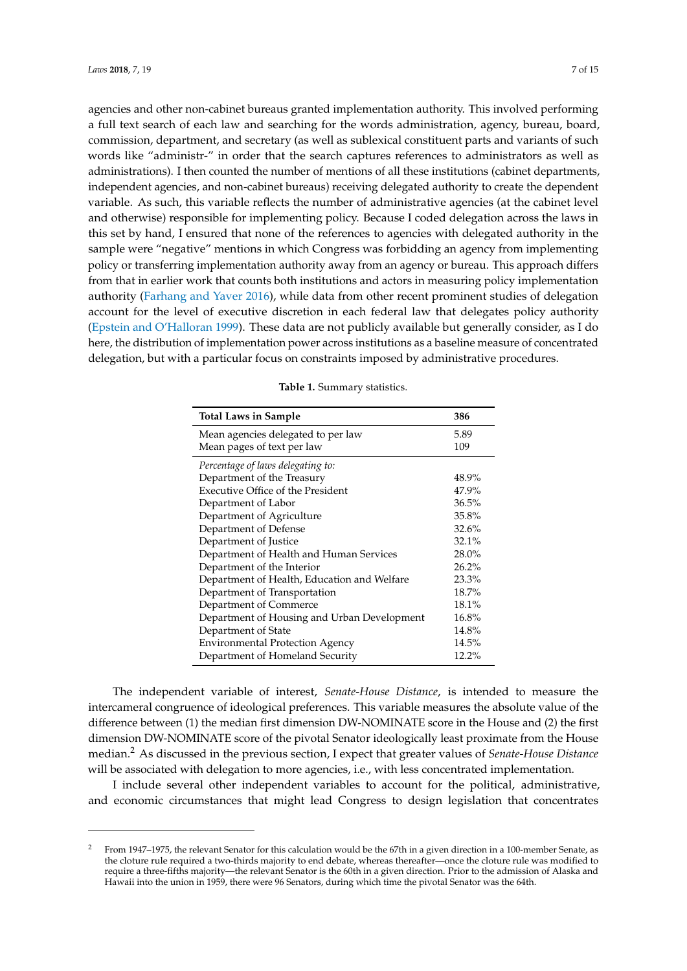agencies and other non-cabinet bureaus granted implementation authority. This involved performing a full text search of each law and searching for the words administration, agency, bureau, board, commission, department, and secretary (as well as sublexical constituent parts and variants of such words like "administr-" in order that the search captures references to administrators as well as administrations). I then counted the number of mentions of all these institutions (cabinet departments, independent agencies, and non-cabinet bureaus) receiving delegated authority to create the dependent variable. As such, this variable reflects the number of administrative agencies (at the cabinet level and otherwise) responsible for implementing policy. Because I coded delegation across the laws in this set by hand, I ensured that none of the references to agencies with delegated authority in the sample were "negative" mentions in which Congress was forbidding an agency from implementing policy or transferring implementation authority away from an agency or bureau. This approach differs from that in earlier work that counts both institutions and actors in measuring policy implementation authority [\(Farhang and Yaver](#page-13-18) [2016\)](#page-13-18), while data from other recent prominent studies of delegation account for the level of executive discretion in each federal law that delegates policy authority [\(Epstein and O'Halloran](#page-13-2) [1999\)](#page-13-2). These data are not publicly available but generally consider, as I do here, the distribution of implementation power across institutions as a baseline measure of concentrated delegation, but with a particular focus on constraints imposed by administrative procedures.

<span id="page-6-0"></span>

| <b>Total Laws in Sample</b>                 | 386      |
|---------------------------------------------|----------|
| Mean agencies delegated to per law          | 5.89     |
| Mean pages of text per law                  | 109      |
| Percentage of laws delegating to:           |          |
| Department of the Treasury                  | 48.9%    |
| Executive Office of the President           | 47.9%    |
| Department of Labor                         | 36.5%    |
| Department of Agriculture                   | 35.8%    |
| Department of Defense                       | 32.6%    |
| Department of Justice                       | 32.1%    |
| Department of Health and Human Services     | $28.0\%$ |
| Department of the Interior                  | 26.2%    |
| Department of Health, Education and Welfare | 23.3%    |
| Department of Transportation                | 18.7%    |
| Department of Commerce                      | 18.1%    |
| Department of Housing and Urban Development | 16.8%    |
| Department of State                         | 14.8%    |
| <b>Environmental Protection Agency</b>      | 14.5%    |
| Department of Homeland Security             | 12.2%    |

|  | Table 1. Summary statistics. |  |
|--|------------------------------|--|
|--|------------------------------|--|

The independent variable of interest, *Senate-House Distance*, is intended to measure the intercameral congruence of ideological preferences. This variable measures the absolute value of the difference between (1) the median first dimension DW-NOMINATE score in the House and (2) the first dimension DW-NOMINATE score of the pivotal Senator ideologically least proximate from the House median.<sup>2</sup> As discussed in the previous section, I expect that greater values of *Senate-House Distance* will be associated with delegation to more agencies, i.e., with less concentrated implementation.

I include several other independent variables to account for the political, administrative, and economic circumstances that might lead Congress to design legislation that concentrates

<sup>2</sup> From 1947–1975, the relevant Senator for this calculation would be the 67th in a given direction in a 100-member Senate, as the cloture rule required a two-thirds majority to end debate, whereas thereafter—once the cloture rule was modified to require a three-fifths majority—the relevant Senator is the 60th in a given direction. Prior to the admission of Alaska and Hawaii into the union in 1959, there were 96 Senators, during which time the pivotal Senator was the 64th.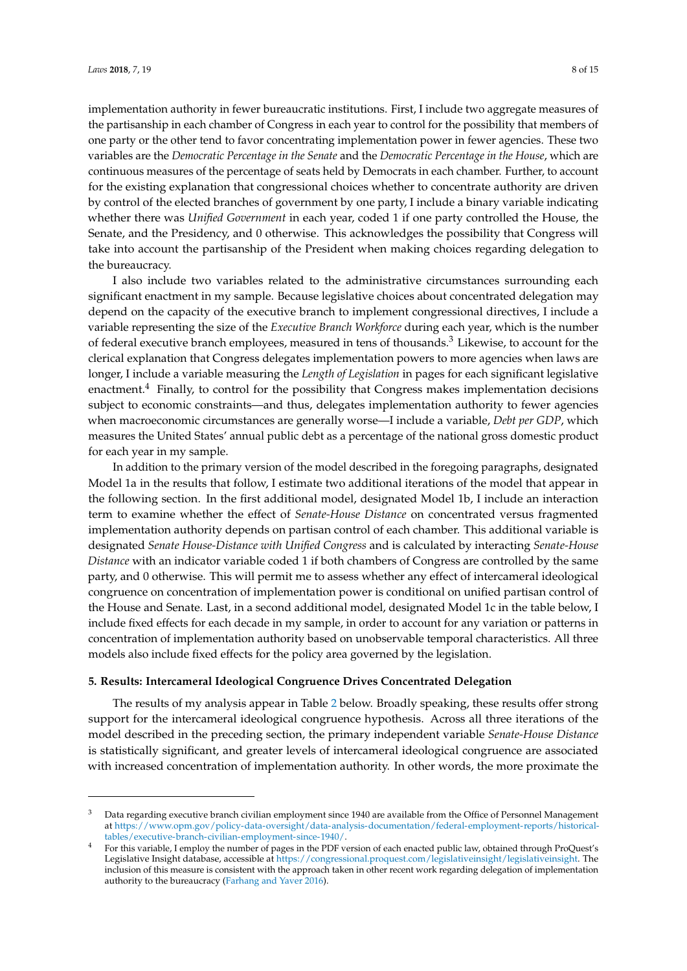implementation authority in fewer bureaucratic institutions. First, I include two aggregate measures of the partisanship in each chamber of Congress in each year to control for the possibility that members of one party or the other tend to favor concentrating implementation power in fewer agencies. These two variables are the *Democratic Percentage in the Senate* and the *Democratic Percentage in the House*, which are continuous measures of the percentage of seats held by Democrats in each chamber. Further, to account for the existing explanation that congressional choices whether to concentrate authority are driven by control of the elected branches of government by one party, I include a binary variable indicating whether there was *Unified Government* in each year, coded 1 if one party controlled the House, the Senate, and the Presidency, and 0 otherwise. This acknowledges the possibility that Congress will take into account the partisanship of the President when making choices regarding delegation to the bureaucracy.

I also include two variables related to the administrative circumstances surrounding each significant enactment in my sample. Because legislative choices about concentrated delegation may depend on the capacity of the executive branch to implement congressional directives, I include a variable representing the size of the *Executive Branch Workforce* during each year, which is the number of federal executive branch employees, measured in tens of thousands.<sup>3</sup> Likewise, to account for the clerical explanation that Congress delegates implementation powers to more agencies when laws are longer, I include a variable measuring the *Length of Legislation* in pages for each significant legislative enactment. $4$  Finally, to control for the possibility that Congress makes implementation decisions subject to economic constraints—and thus, delegates implementation authority to fewer agencies when macroeconomic circumstances are generally worse—I include a variable, *Debt per GDP*, which measures the United States' annual public debt as a percentage of the national gross domestic product for each year in my sample.

In addition to the primary version of the model described in the foregoing paragraphs, designated Model 1a in the results that follow, I estimate two additional iterations of the model that appear in the following section. In the first additional model, designated Model 1b, I include an interaction term to examine whether the effect of *Senate-House Distance* on concentrated versus fragmented implementation authority depends on partisan control of each chamber. This additional variable is designated *Senate House-Distance with Unified Congress* and is calculated by interacting *Senate-House Distance* with an indicator variable coded 1 if both chambers of Congress are controlled by the same party, and 0 otherwise. This will permit me to assess whether any effect of intercameral ideological congruence on concentration of implementation power is conditional on unified partisan control of the House and Senate. Last, in a second additional model, designated Model 1c in the table below, I include fixed effects for each decade in my sample, in order to account for any variation or patterns in concentration of implementation authority based on unobservable temporal characteristics. All three models also include fixed effects for the policy area governed by the legislation.

#### **5. Results: Intercameral Ideological Congruence Drives Concentrated Delegation**

The results of my analysis appear in Table [2](#page-9-0) below. Broadly speaking, these results offer strong support for the intercameral ideological congruence hypothesis. Across all three iterations of the model described in the preceding section, the primary independent variable *Senate-House Distance* is statistically significant, and greater levels of intercameral ideological congruence are associated with increased concentration of implementation authority. In other words, the more proximate the

<sup>3</sup> Data regarding executive branch civilian employment since 1940 are available from the Office of Personnel Management at [https://www.opm.gov/policy-data-oversight/data-analysis-documentation/federal-employment-reports/historical](https://www.opm.gov/policy-data-oversight/data-analysis-documentation/federal-employment-reports/historical-tables/executive-branch-civilian-employment-since-1940/)[tables/executive-branch-civilian-employment-since-1940/.](https://www.opm.gov/policy-data-oversight/data-analysis-documentation/federal-employment-reports/historical-tables/executive-branch-civilian-employment-since-1940/)

<sup>4</sup> For this variable, I employ the number of pages in the PDF version of each enacted public law, obtained through ProQuest's Legislative Insight database, accessible at [https://congressional.proquest.com/legislativeinsight/legislativeinsight.](https://congressional.proquest.com/legislativeinsight/legislativeinsight) The inclusion of this measure is consistent with the approach taken in other recent work regarding delegation of implementation authority to the bureaucracy [\(Farhang and Yaver](#page-13-18) [2016\)](#page-13-18).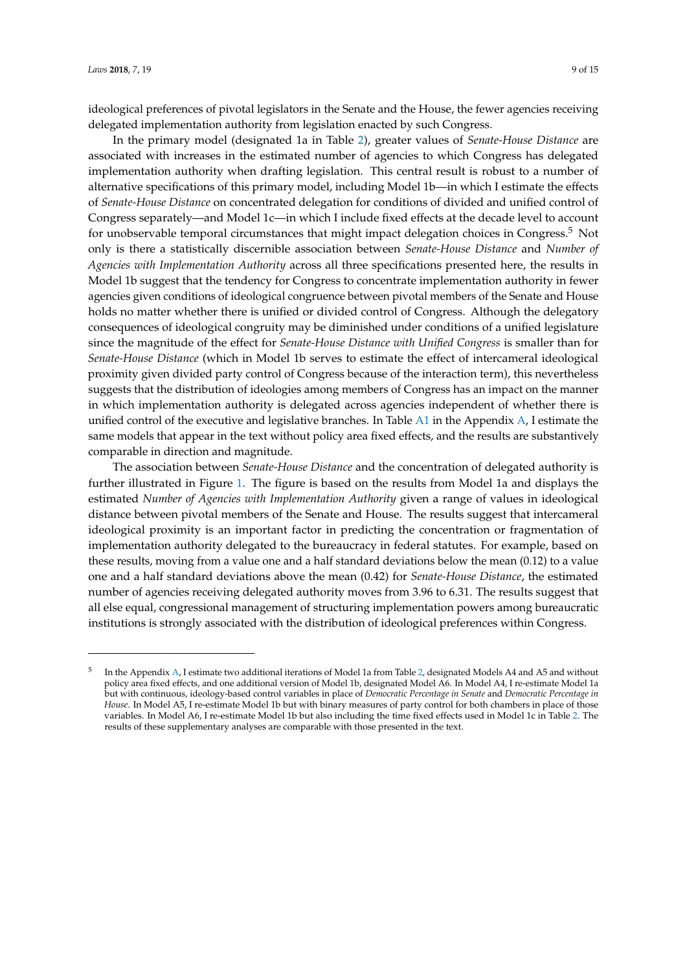ideological preferences of pivotal legislators in the Senate and the House, the fewer agencies receiving delegated implementation authority from legislation enacted by such Congress.

In the primary model (designated 1a in Table [2\)](#page-9-0), greater values of *Senate-House Distance* are associated with increases in the estimated number of agencies to which Congress has delegated implementation authority when drafting legislation. This central result is robust to a number of alternative specifications of this primary model, including Model 1b—in which I estimate the effects of *Senate-House Distance* on concentrated delegation for conditions of divided and unified control of Congress separately—and Model 1c—in which I include fixed effects at the decade level to account for unobservable temporal circumstances that might impact delegation choices in Congress.<sup>5</sup> Not only is there a statistically discernible association between *Senate-House Distance* and *Number of Agencies with Implementation Authority* across all three specifications presented here, the results in Model 1b suggest that the tendency for Congress to concentrate implementation authority in fewer agencies given conditions of ideological congruence between pivotal members of the Senate and House holds no matter whether there is unified or divided control of Congress. Although the delegatory consequences of ideological congruity may be diminished under conditions of a unified legislature since the magnitude of the effect for *Senate-House Distance with Unified Congress* is smaller than for *Senate-House Distance* (which in Model 1b serves to estimate the effect of intercameral ideological proximity given divided party control of Congress because of the interaction term), this nevertheless suggests that the distribution of ideologies among members of Congress has an impact on the manner in which implementation authority is delegated across agencies independent of whether there is unified control of the executive and legislative branches. In Table [A1](#page-11-0) in the Appendix [A,](#page-11-1) I estimate the same models that appear in the text without policy area fixed effects, and the results are substantively comparable in direction and magnitude.

The association between *Senate-House Distance* and the concentration of delegated authority is further illustrated in Figure [1.](#page-9-1) The figure is based on the results from Model 1a and displays the estimated *Number of Agencies with Implementation Authority* given a range of values in ideological distance between pivotal members of the Senate and House. The results suggest that intercameral ideological proximity is an important factor in predicting the concentration or fragmentation of implementation authority delegated to the bureaucracy in federal statutes. For example, based on these results, moving from a value one and a half standard deviations below the mean (0.12) to a value one and a half standard deviations above the mean (0.42) for *Senate-House Distance*, the estimated number of agencies receiving delegated authority moves from 3.96 to 6.31. The results suggest that all else equal, congressional management of structuring implementation powers among bureaucratic institutions is strongly associated with the distribution of ideological preferences within Congress.

<sup>5</sup> In the Appendix [A,](#page-11-1) I estimate two additional iterations of Model 1a from Table [2,](#page-9-0) designated Models A4 and A5 and without policy area fixed effects, and one additional version of Model 1b, designated Model A6. In Model A4, I re-estimate Model 1a but with continuous, ideology-based control variables in place of *Democratic Percentage in Senate* and *Democratic Percentage in House*. In Model A5, I re-estimate Model 1b but with binary measures of party control for both chambers in place of those variables. In Model A6, I re-estimate Model 1b but also including the time fixed effects used in Model 1c in Table [2.](#page-9-0) The results of these supplementary analyses are comparable with those presented in the text.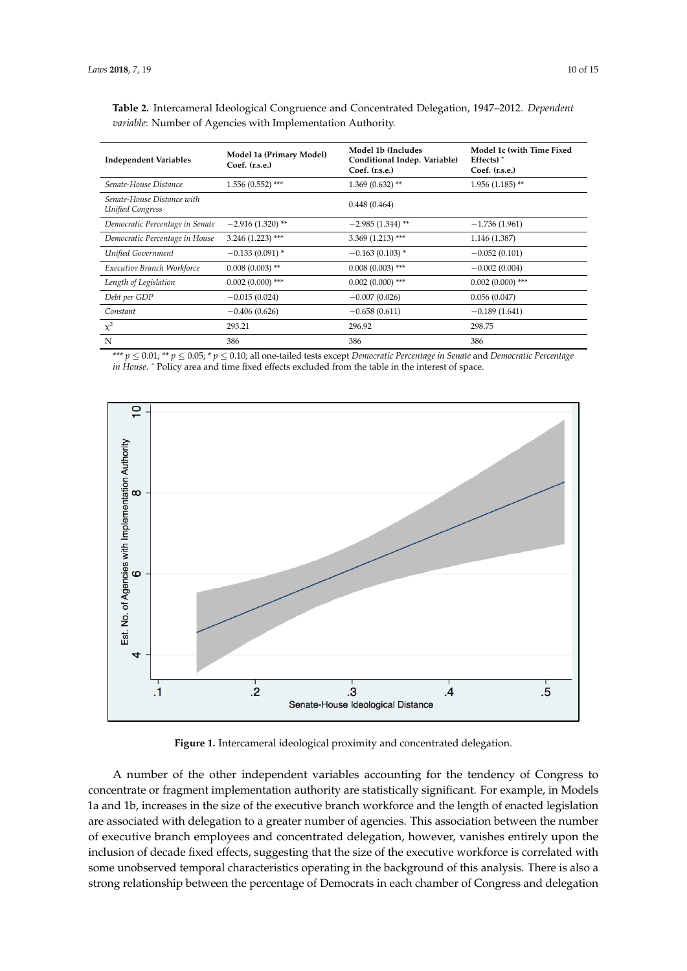| <b>Independent Variables</b>                   | Model 1a (Primary Model)<br>$Coef.$ $(r.s.e.)$ | Model 1b (Includes<br>Conditional Indep. Variable)<br>Coef. (r.s.e.) | Model 1c (with Time Fixed<br>Effects $)$<br>Coef. (r.s.e.) |
|------------------------------------------------|------------------------------------------------|----------------------------------------------------------------------|------------------------------------------------------------|
| Senate-House Distance                          | $1.556(0.552)$ ***                             | $1.369(0.632)$ **                                                    | $1.956(1.185)$ **                                          |
| Senate-House Distance with<br>Unified Congress |                                                | 0.448(0.464)                                                         |                                                            |
| Democratic Percentage in Senate                | $-2.916(1.320)$ **                             | $-2.985(1.344)$ **                                                   | $-1.736(1.961)$                                            |
| Democratic Percentage in House                 | $3.246(1.223)$ ***                             | $3.369(1.213)$ ***                                                   | 1.146 (1.387)                                              |
| Unified Government                             | $-0.133(0.091)$ *                              | $-0.163(0.103)$ *                                                    | $-0.052(0.101)$                                            |
| Executive Branch Workforce                     | $0.008(0.003)$ **                              | $0.008(0.003)$ ***                                                   | $-0.002(0.004)$                                            |
| Length of Legislation                          | $0.002(0.000)$ ***                             | $0.002(0.000)$ ***                                                   | $0.002(0.000)$ ***                                         |
| Debt per GDP                                   | $-0.015(0.024)$                                | $-0.007(0.026)$                                                      | 0.056(0.047)                                               |
| Constant                                       | $-0.406(0.626)$                                | $-0.658(0.611)$                                                      | $-0.189(1.641)$                                            |
| $\chi^2$                                       | 293.21                                         | 296.92                                                               | 298.75                                                     |
| N                                              | 386                                            | 386                                                                  | 386                                                        |

<span id="page-9-0"></span>Table 2. Intercameral Ideological Congruence and Concentrated Delegation, 1947-2012. Dependent  $variable:$  Number of Agencies with Implementation Authority. **Coef. (r.s.e.)**

\*\*\*  $p \le 0.01$ ; \*\*  $p \le 0.05$ ; \*  $p \le 0.10$ ; all one-tailed tests except Democratic Percentage in Senate and Democratic Percentage *in House*. ^ Policy area and time fixed effects excluded from the table in the interest of space.

<span id="page-9-1"></span>

**Figure 1.** Intercameral ideological proximity and concentrated delegation. **Figure 1.** Intercameral ideological proximity and concentrated delegation.

A number of the other independent variables accounting for the tendency of Congress to A number of the other independent variables accounting for the tendency of Congress to concentrate or fragment implementation authority are statistically significant. For example, in concentrate or fragment implementation authority are statistically significant. For example, in Models 1a and 1b, increases in the size of the executive branch workforce and the length of enacted legislation are associated with delegation to a greater number of agencies. This association between the number of executive branch employees and concentrated delegation, however, vanishes entirely upon the inclusion of decade fixed effects, suggesting that the size of the executive workforce is correlated with some unobserved temporal characteristics operating in the background of this analysis. There is also a strong relationship between the percentage of Democrats in each chamber of Congress and delegation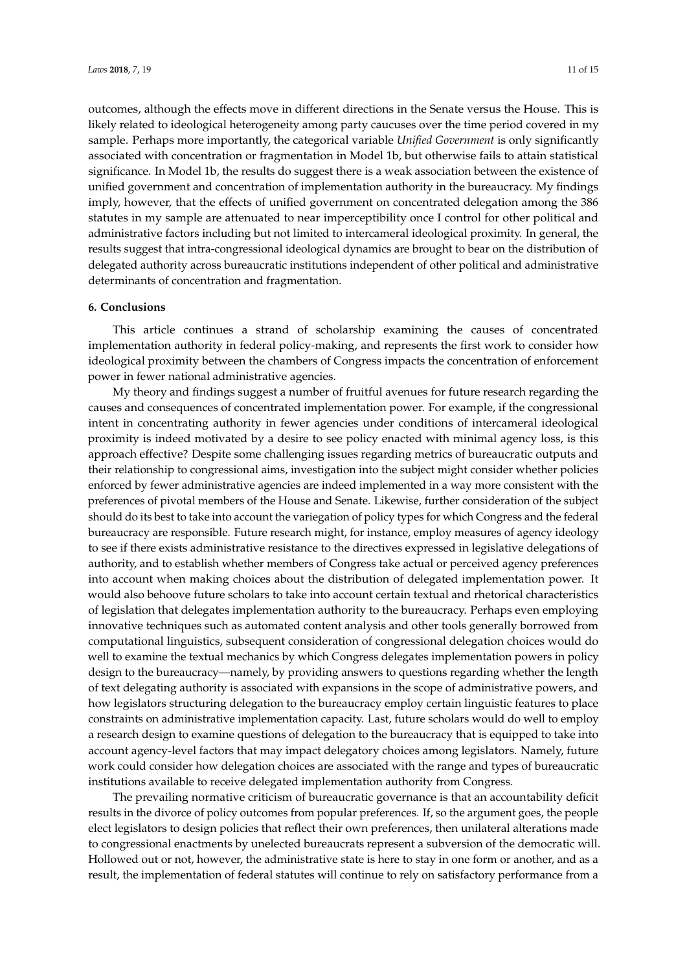outcomes, although the effects move in different directions in the Senate versus the House. This is likely related to ideological heterogeneity among party caucuses over the time period covered in my sample. Perhaps more importantly, the categorical variable *Unified Government* is only significantly associated with concentration or fragmentation in Model 1b, but otherwise fails to attain statistical significance. In Model 1b, the results do suggest there is a weak association between the existence of unified government and concentration of implementation authority in the bureaucracy. My findings imply, however, that the effects of unified government on concentrated delegation among the 386 statutes in my sample are attenuated to near imperceptibility once I control for other political and administrative factors including but not limited to intercameral ideological proximity. In general, the results suggest that intra-congressional ideological dynamics are brought to bear on the distribution of delegated authority across bureaucratic institutions independent of other political and administrative determinants of concentration and fragmentation.

#### **6. Conclusions**

This article continues a strand of scholarship examining the causes of concentrated implementation authority in federal policy-making, and represents the first work to consider how ideological proximity between the chambers of Congress impacts the concentration of enforcement power in fewer national administrative agencies.

My theory and findings suggest a number of fruitful avenues for future research regarding the causes and consequences of concentrated implementation power. For example, if the congressional intent in concentrating authority in fewer agencies under conditions of intercameral ideological proximity is indeed motivated by a desire to see policy enacted with minimal agency loss, is this approach effective? Despite some challenging issues regarding metrics of bureaucratic outputs and their relationship to congressional aims, investigation into the subject might consider whether policies enforced by fewer administrative agencies are indeed implemented in a way more consistent with the preferences of pivotal members of the House and Senate. Likewise, further consideration of the subject should do its best to take into account the variegation of policy types for which Congress and the federal bureaucracy are responsible. Future research might, for instance, employ measures of agency ideology to see if there exists administrative resistance to the directives expressed in legislative delegations of authority, and to establish whether members of Congress take actual or perceived agency preferences into account when making choices about the distribution of delegated implementation power. It would also behoove future scholars to take into account certain textual and rhetorical characteristics of legislation that delegates implementation authority to the bureaucracy. Perhaps even employing innovative techniques such as automated content analysis and other tools generally borrowed from computational linguistics, subsequent consideration of congressional delegation choices would do well to examine the textual mechanics by which Congress delegates implementation powers in policy design to the bureaucracy—namely, by providing answers to questions regarding whether the length of text delegating authority is associated with expansions in the scope of administrative powers, and how legislators structuring delegation to the bureaucracy employ certain linguistic features to place constraints on administrative implementation capacity. Last, future scholars would do well to employ a research design to examine questions of delegation to the bureaucracy that is equipped to take into account agency-level factors that may impact delegatory choices among legislators. Namely, future work could consider how delegation choices are associated with the range and types of bureaucratic institutions available to receive delegated implementation authority from Congress.

The prevailing normative criticism of bureaucratic governance is that an accountability deficit results in the divorce of policy outcomes from popular preferences. If, so the argument goes, the people elect legislators to design policies that reflect their own preferences, then unilateral alterations made to congressional enactments by unelected bureaucrats represent a subversion of the democratic will. Hollowed out or not, however, the administrative state is here to stay in one form or another, and as a result, the implementation of federal statutes will continue to rely on satisfactory performance from a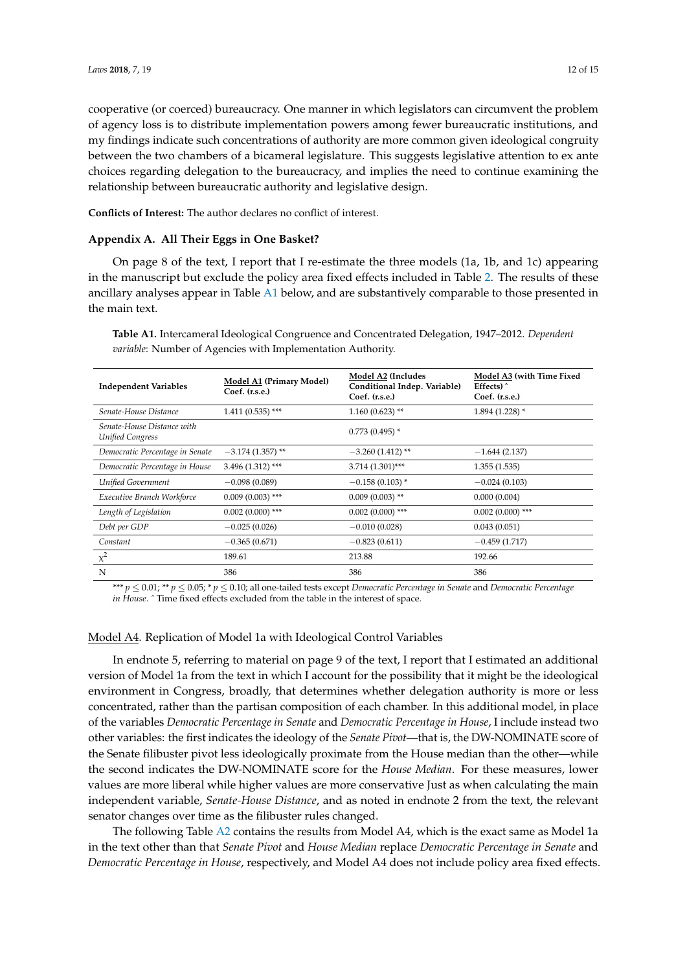cooperative (or coerced) bureaucracy. One manner in which legislators can circumvent the problem of agency loss is to distribute implementation powers among fewer bureaucratic institutions, and my findings indicate such concentrations of authority are more common given ideological congruity between the two chambers of a bicameral legislature. This suggests legislative attention to ex ante choices regarding delegation to the bureaucracy, and implies the need to continue examining the relationship between bureaucratic authority and legislative design.

**Conflicts of Interest:** The author declares no conflict of interest.

#### <span id="page-11-1"></span>**Appendix A. All Their Eggs in One Basket?**

On page 8 of the text, I report that I re-estimate the three models (1a, 1b, and 1c) appearing in the manuscript but exclude the policy area fixed effects included in Table [2.](#page-9-0) The results of these ancillary analyses appear in Table [A1](#page-11-0) below, and are substantively comparable to those presented in the main text.

<span id="page-11-0"></span>**Table A1.** Intercameral Ideological Congruence and Concentrated Delegation, 1947–2012. *Dependent variable*: Number of Agencies with Implementation Authority.

| <b>Independent Variables</b>                          | Model A1 (Primary Model)<br>Coef. (r.s.e.) | Model A2 (Includes<br>Conditional Indep. Variable)<br>$Coef.$ $(r.s.e.)$ | Model A3 (with Time Fixed<br>Effects $)$<br>Coef. (r.s.e.) |
|-------------------------------------------------------|--------------------------------------------|--------------------------------------------------------------------------|------------------------------------------------------------|
| Senate-House Distance                                 | $1.411(0.535)$ ***                         | $1.160(0.623)$ **                                                        | $1.894(1.228)$ *                                           |
| Senate-House Distance with<br><b>Unified Congress</b> |                                            | $0.773(0.495)$ *                                                         |                                                            |
| Democratic Percentage in Senate                       | $-3.174(1.357)$ **                         | $-3.260(1.412)$ **                                                       | $-1.644(2.137)$                                            |
| Democratic Percentage in House                        | $3.496(1.312)$ ***                         | 3.714 (1.301)***                                                         | 1.355(1.535)                                               |
| Unified Government                                    | $-0.098(0.089)$                            | $-0.158(0.103)$ *                                                        | $-0.024(0.103)$                                            |
| Executive Branch Workforce                            | $0.009(0.003)$ ***                         | $0.009(0.003)$ **                                                        | 0.000(0.004)                                               |
| Length of Legislation                                 | $0.002$ (0.000) ***                        | $0.002(0.000)$ ***                                                       | $0.002(0.000)$ ***                                         |
| Debt per GDP                                          | $-0.025(0.026)$                            | $-0.010(0.028)$                                                          | 0.043(0.051)                                               |
| Constant                                              | $-0.365(0.671)$                            | $-0.823(0.611)$                                                          | $-0.459(1.717)$                                            |
| $\chi^2$                                              | 189.61                                     | 213.88                                                                   | 192.66                                                     |
| N                                                     | 386                                        | 386                                                                      | 386                                                        |

\*\*\* *p* ≤ 0.01; \*\* *p* ≤ 0.05; \* *p* ≤ 0.10; all one-tailed tests except *Democratic Percentage in Senate* and *Democratic Percentage in House*. ˆ Time fixed effects excluded from the table in the interest of space.

### Model A4. Replication of Model 1a with Ideological Control Variables

In endnote 5, referring to material on page 9 of the text, I report that I estimated an additional version of Model 1a from the text in which I account for the possibility that it might be the ideological environment in Congress, broadly, that determines whether delegation authority is more or less concentrated, rather than the partisan composition of each chamber. In this additional model, in place of the variables *Democratic Percentage in Senate* and *Democratic Percentage in House*, I include instead two other variables: the first indicates the ideology of the *Senate Pivot*—that is, the DW-NOMINATE score of the Senate filibuster pivot less ideologically proximate from the House median than the other—while the second indicates the DW-NOMINATE score for the *House Median*. For these measures, lower values are more liberal while higher values are more conservative Just as when calculating the main independent variable, *Senate-House Distance*, and as noted in endnote 2 from the text, the relevant senator changes over time as the filibuster rules changed.

The following Table [A2](#page-12-0) contains the results from Model A4, which is the exact same as Model 1a in the text other than that *Senate Pivot* and *House Median* replace *Democratic Percentage in Senate* and *Democratic Percentage in House*, respectively, and Model A4 does not include policy area fixed effects.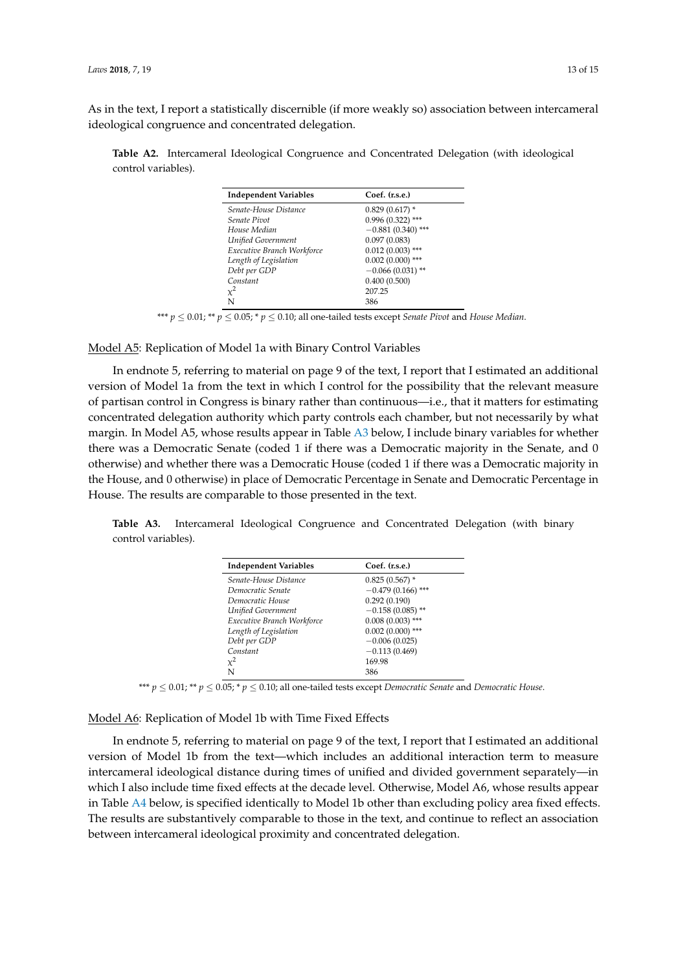As in the text, I report a statistically discernible (if more weakly so) association between intercameral ideological congruence and concentrated delegation.

<span id="page-12-0"></span>**Table A2.** Intercameral Ideological Congruence and Concentrated Delegation (with ideological control variables).

| <b>Independent Variables</b> | Coef. (r.s.e.)        |
|------------------------------|-----------------------|
| Senate-House Distance        | $0.829(0.617)$ *      |
| Senate Pivot                 | $0.996(0.322)$ ***    |
| House Median                 | $-0.881(0.340)$ ***   |
| Unified Government           | 0.097(0.083)          |
| Executive Branch Workforce   | $0.012(0.003)$ ***    |
| Length of Legislation        | $0.002$ $(0.000)$ *** |
| Debt per GDP                 | $-0.066(0.031)$ **    |
| Constant                     | 0.400(0.500)          |
| $x^2$                        | 207.25                |
| N                            | 386                   |

\*\*\* *p* ≤ 0.01; \*\* *p* ≤ 0.05; \* *p* ≤ 0.10; all one-tailed tests except *Senate Pivot* and *House Median*.

Model A5: Replication of Model 1a with Binary Control Variables

In endnote 5, referring to material on page 9 of the text, I report that I estimated an additional version of Model 1a from the text in which I control for the possibility that the relevant measure of partisan control in Congress is binary rather than continuous—i.e., that it matters for estimating concentrated delegation authority which party controls each chamber, but not necessarily by what margin. In Model A5, whose results appear in Table [A3](#page-12-1) below, I include binary variables for whether there was a Democratic Senate (coded 1 if there was a Democratic majority in the Senate, and 0 otherwise) and whether there was a Democratic House (coded 1 if there was a Democratic majority in the House, and 0 otherwise) in place of Democratic Percentage in Senate and Democratic Percentage in House. The results are comparable to those presented in the text.

<span id="page-12-1"></span>**Table A3.** Intercameral Ideological Congruence and Concentrated Delegation (with binary control variables).

| <b>Independent Variables</b> | Coef. (r.s.e.)        |  |
|------------------------------|-----------------------|--|
| Senate-House Distance        | $0.825(0.567)$ *      |  |
| Democratic Senate            | $-0.479(0.166)$ ***   |  |
| Democratic House             | 0.292(0.190)          |  |
| Unified Government           | $-0.158(0.085)$ **    |  |
| Executive Branch Workforce   | $0.008(0.003)$ ***    |  |
| Length of Legislation        | $0.002$ $(0.000)$ *** |  |
| Debt per GDP                 | $-0.006(0.025)$       |  |
| Constant                     | $-0.113(0.469)$       |  |
| $x^2$                        | 169.98                |  |
| N                            | 386                   |  |
|                              |                       |  |

\*\*\* *p* ≤ 0.01; \*\* *p* ≤ 0.05; \* *p* ≤ 0.10; all one-tailed tests except *Democratic Senate* and *Democratic House*.

Model A6: Replication of Model 1b with Time Fixed Effects

In endnote 5, referring to material on page 9 of the text, I report that I estimated an additional version of Model 1b from the text—which includes an additional interaction term to measure intercameral ideological distance during times of unified and divided government separately—in which I also include time fixed effects at the decade level. Otherwise, Model A6, whose results appear in Table [A4](#page-13-20) below, is specified identically to Model 1b other than excluding policy area fixed effects. The results are substantively comparable to those in the text, and continue to reflect an association between intercameral ideological proximity and concentrated delegation.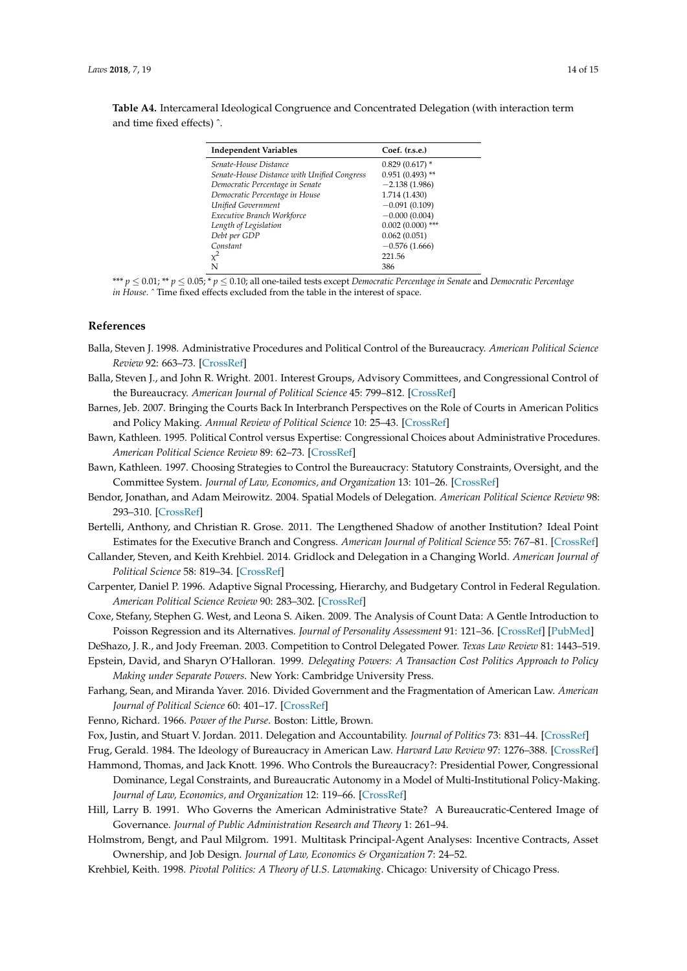<span id="page-13-20"></span>**Table A4.** Intercameral Ideological Congruence and Concentrated Delegation (with interaction term and time fixed effects) ˆ.

| Coef. (r.s.e.)     |
|--------------------|
| $0.829(0.617)$ *   |
| $0.951(0.493)$ **  |
| $-2.138(1.986)$    |
| 1.714 (1.430)      |
| $-0.091(0.109)$    |
| $-0.000(0.004)$    |
| $0.002(0.000)$ *** |
| 0.062(0.051)       |
| $-0.576(1.666)$    |
| 221.56             |
| 386                |
|                    |

\*\*\* *p* ≤ 0.01; \*\* *p* ≤ 0.05; \* *p* ≤ 0.10; all one-tailed tests except *Democratic Percentage in Senate* and *Democratic Percentage in House*. ˆ Time fixed effects excluded from the table in the interest of space.

#### **References**

- <span id="page-13-0"></span>Balla, Steven J. 1998. Administrative Procedures and Political Control of the Bureaucracy. *American Political Science Review* 92: 663–73. [\[CrossRef\]](http://dx.doi.org/10.2307/2585488)
- <span id="page-13-1"></span>Balla, Steven J., and John R. Wright. 2001. Interest Groups, Advisory Committees, and Congressional Control of the Bureaucracy. *American Journal of Political Science* 45: 799–812. [\[CrossRef\]](http://dx.doi.org/10.2307/2669325)
- <span id="page-13-9"></span>Barnes, Jeb. 2007. Bringing the Courts Back In Interbranch Perspectives on the Role of Courts in American Politics and Policy Making. *Annual Review of Political Science* 10: 25–43. [\[CrossRef\]](http://dx.doi.org/10.1146/annurev.polisci.10.080505.101210)
- <span id="page-13-3"></span>Bawn, Kathleen. 1995. Political Control versus Expertise: Congressional Choices about Administrative Procedures. *American Political Science Review* 89: 62–73. [\[CrossRef\]](http://dx.doi.org/10.2307/2083075)
- <span id="page-13-4"></span>Bawn, Kathleen. 1997. Choosing Strategies to Control the Bureaucracy: Statutory Constraints, Oversight, and the Committee System. *Journal of Law, Economics, and Organization* 13: 101–26. [\[CrossRef\]](http://dx.doi.org/10.1093/oxfordjournals.jleo.a023375)
- <span id="page-13-14"></span>Bendor, Jonathan, and Adam Meirowitz. 2004. Spatial Models of Delegation. *American Political Science Review* 98: 293–310. [\[CrossRef\]](http://dx.doi.org/10.1017/S0003055404001157)
- <span id="page-13-5"></span>Bertelli, Anthony, and Christian R. Grose. 2011. The Lengthened Shadow of another Institution? Ideal Point Estimates for the Executive Branch and Congress. *American Journal of Political Science* 55: 767–81. [\[CrossRef\]](http://dx.doi.org/10.1111/j.1540-5907.2011.00527.x)
- <span id="page-13-15"></span>Callander, Steven, and Keith Krehbiel. 2014. Gridlock and Delegation in a Changing World. *American Journal of Political Science* 58: 819–34. [\[CrossRef\]](http://dx.doi.org/10.1111/ajps.12105)
- <span id="page-13-17"></span>Carpenter, Daniel P. 1996. Adaptive Signal Processing, Hierarchy, and Budgetary Control in Federal Regulation. *American Political Science Review* 90: 283–302. [\[CrossRef\]](http://dx.doi.org/10.2307/2082885)
- <span id="page-13-19"></span>Coxe, Stefany, Stephen G. West, and Leona S. Aiken. 2009. The Analysis of Count Data: A Gentle Introduction to Poisson Regression and its Alternatives. *Journal of Personality Assessment* 91: 121–36. [\[CrossRef\]](http://dx.doi.org/10.1080/00223890802634175) [\[PubMed\]](http://www.ncbi.nlm.nih.gov/pubmed/19205933)
- <span id="page-13-12"></span>DeShazo, J. R., and Jody Freeman. 2003. Competition to Control Delegated Power. *Texas Law Review* 81: 1443–519.
- <span id="page-13-2"></span>Epstein, David, and Sharyn O'Halloran. 1999. *Delegating Powers: A Transaction Cost Politics Approach to Policy Making under Separate Powers*. New York: Cambridge University Press.
- <span id="page-13-18"></span>Farhang, Sean, and Miranda Yaver. 2016. Divided Government and the Fragmentation of American Law. *American Journal of Political Science* 60: 401–17. [\[CrossRef\]](http://dx.doi.org/10.1111/ajps.12188)
- <span id="page-13-13"></span><span id="page-13-10"></span>Fenno, Richard. 1966. *Power of the Purse*. Boston: Little, Brown.
- Fox, Justin, and Stuart V. Jordan. 2011. Delegation and Accountability. *Journal of Politics* 73: 831–44. [\[CrossRef\]](http://dx.doi.org/10.1017/S0022381611000491)

<span id="page-13-11"></span>Frug, Gerald. 1984. The Ideology of Bureaucracy in American Law. *Harvard Law Review* 97: 1276–388. [\[CrossRef\]](http://dx.doi.org/10.2307/1340969)

- <span id="page-13-6"></span>Hammond, Thomas, and Jack Knott. 1996. Who Controls the Bureaucracy?: Presidential Power, Congressional Dominance, Legal Constraints, and Bureaucratic Autonomy in a Model of Multi-Institutional Policy-Making. *Journal of Law, Economics, and Organization* 12: 119–66. [\[CrossRef\]](http://dx.doi.org/10.1093/oxfordjournals.jleo.a023355)
- <span id="page-13-8"></span>Hill, Larry B. 1991. Who Governs the American Administrative State? A Bureaucratic-Centered Image of Governance. *Journal of Public Administration Research and Theory* 1: 261–94.
- <span id="page-13-16"></span>Holmstrom, Bengt, and Paul Milgrom. 1991. Multitask Principal-Agent Analyses: Incentive Contracts, Asset Ownership, and Job Design. *Journal of Law, Economics & Organization* 7: 24–52.
- <span id="page-13-7"></span>Krehbiel, Keith. 1998. *Pivotal Politics: A Theory of U.S. Lawmaking*. Chicago: University of Chicago Press.